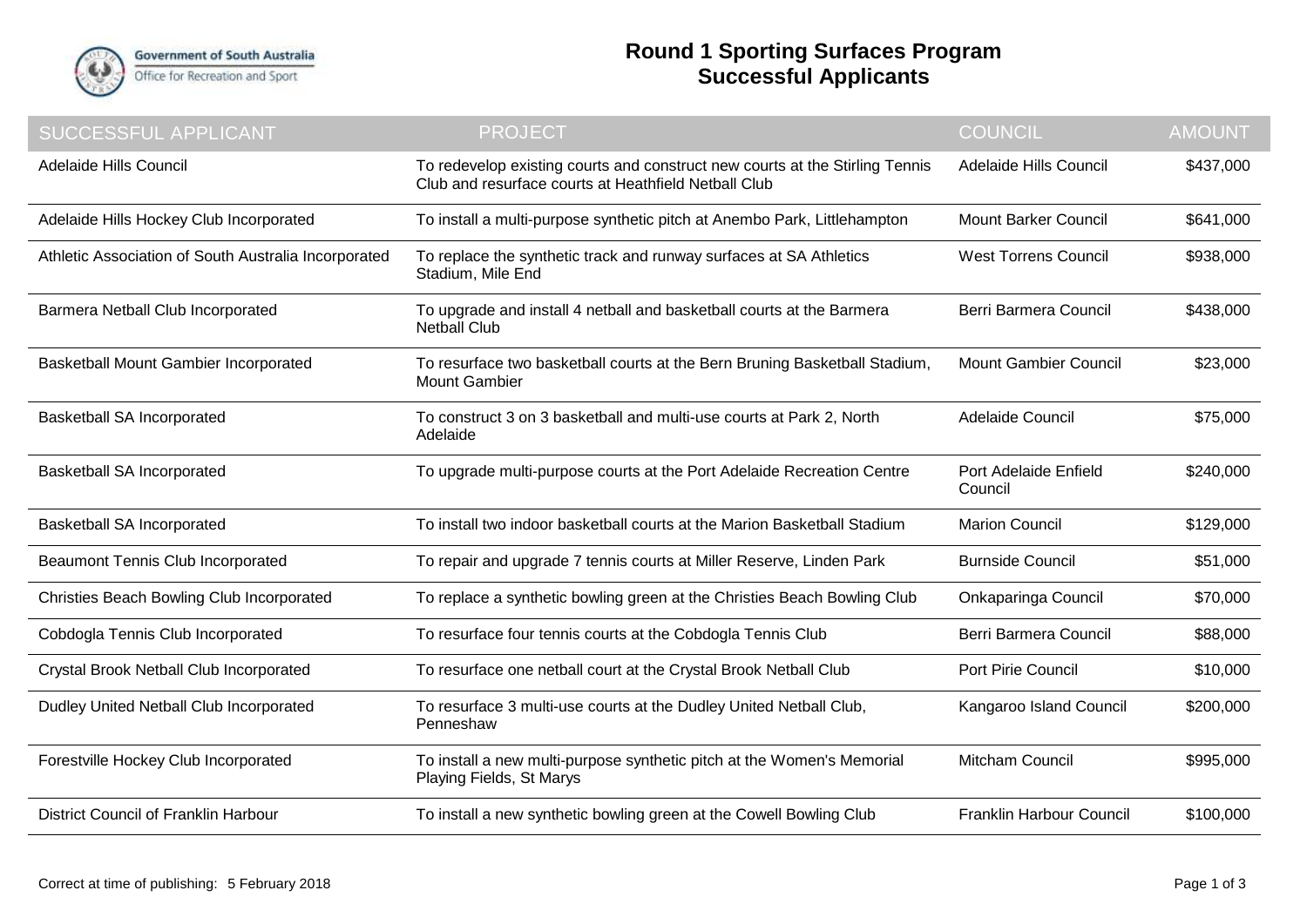

## **Round 1 Sporting Surfaces Program Successful Applicants**

| <b>SUCCESSFUL APPLICANT</b>                          | <b>PROJECT</b>                                                                                                                       | <b>COUNCIL</b>                   | <b>AMOUNT</b> |
|------------------------------------------------------|--------------------------------------------------------------------------------------------------------------------------------------|----------------------------------|---------------|
| Adelaide Hills Council                               | To redevelop existing courts and construct new courts at the Stirling Tennis<br>Club and resurface courts at Heathfield Netball Club | Adelaide Hills Council           | \$437,000     |
| Adelaide Hills Hockey Club Incorporated              | To install a multi-purpose synthetic pitch at Anembo Park, Littlehampton                                                             | <b>Mount Barker Council</b>      | \$641,000     |
| Athletic Association of South Australia Incorporated | To replace the synthetic track and runway surfaces at SA Athletics<br>Stadium, Mile End                                              | <b>West Torrens Council</b>      | \$938,000     |
| Barmera Netball Club Incorporated                    | To upgrade and install 4 netball and basketball courts at the Barmera<br><b>Netball Club</b>                                         | Berri Barmera Council            | \$438,000     |
| <b>Basketball Mount Gambier Incorporated</b>         | To resurface two basketball courts at the Bern Bruning Basketball Stadium,<br><b>Mount Gambier</b>                                   | <b>Mount Gambier Council</b>     | \$23,000      |
| <b>Basketball SA Incorporated</b>                    | To construct 3 on 3 basketball and multi-use courts at Park 2, North<br>Adelaide                                                     | Adelaide Council                 | \$75,000      |
| Basketball SA Incorporated                           | To upgrade multi-purpose courts at the Port Adelaide Recreation Centre                                                               | Port Adelaide Enfield<br>Council | \$240,000     |
| Basketball SA Incorporated                           | To install two indoor basketball courts at the Marion Basketball Stadium                                                             | <b>Marion Council</b>            | \$129,000     |
| <b>Beaumont Tennis Club Incorporated</b>             | To repair and upgrade 7 tennis courts at Miller Reserve, Linden Park                                                                 | <b>Burnside Council</b>          | \$51,000      |
| Christies Beach Bowling Club Incorporated            | To replace a synthetic bowling green at the Christies Beach Bowling Club                                                             | Onkaparinga Council              | \$70,000      |
| Cobdogla Tennis Club Incorporated                    | To resurface four tennis courts at the Cobdogla Tennis Club                                                                          | Berri Barmera Council            | \$88,000      |
| Crystal Brook Netball Club Incorporated              | To resurface one netball court at the Crystal Brook Netball Club                                                                     | Port Pirie Council               | \$10,000      |
| Dudley United Netball Club Incorporated              | To resurface 3 multi-use courts at the Dudley United Netball Club,<br>Penneshaw                                                      | Kangaroo Island Council          | \$200,000     |
| Forestville Hockey Club Incorporated                 | To install a new multi-purpose synthetic pitch at the Women's Memorial<br>Playing Fields, St Marys                                   | <b>Mitcham Council</b>           | \$995,000     |
| District Council of Franklin Harbour                 | To install a new synthetic bowling green at the Cowell Bowling Club                                                                  | Franklin Harbour Council         | \$100,000     |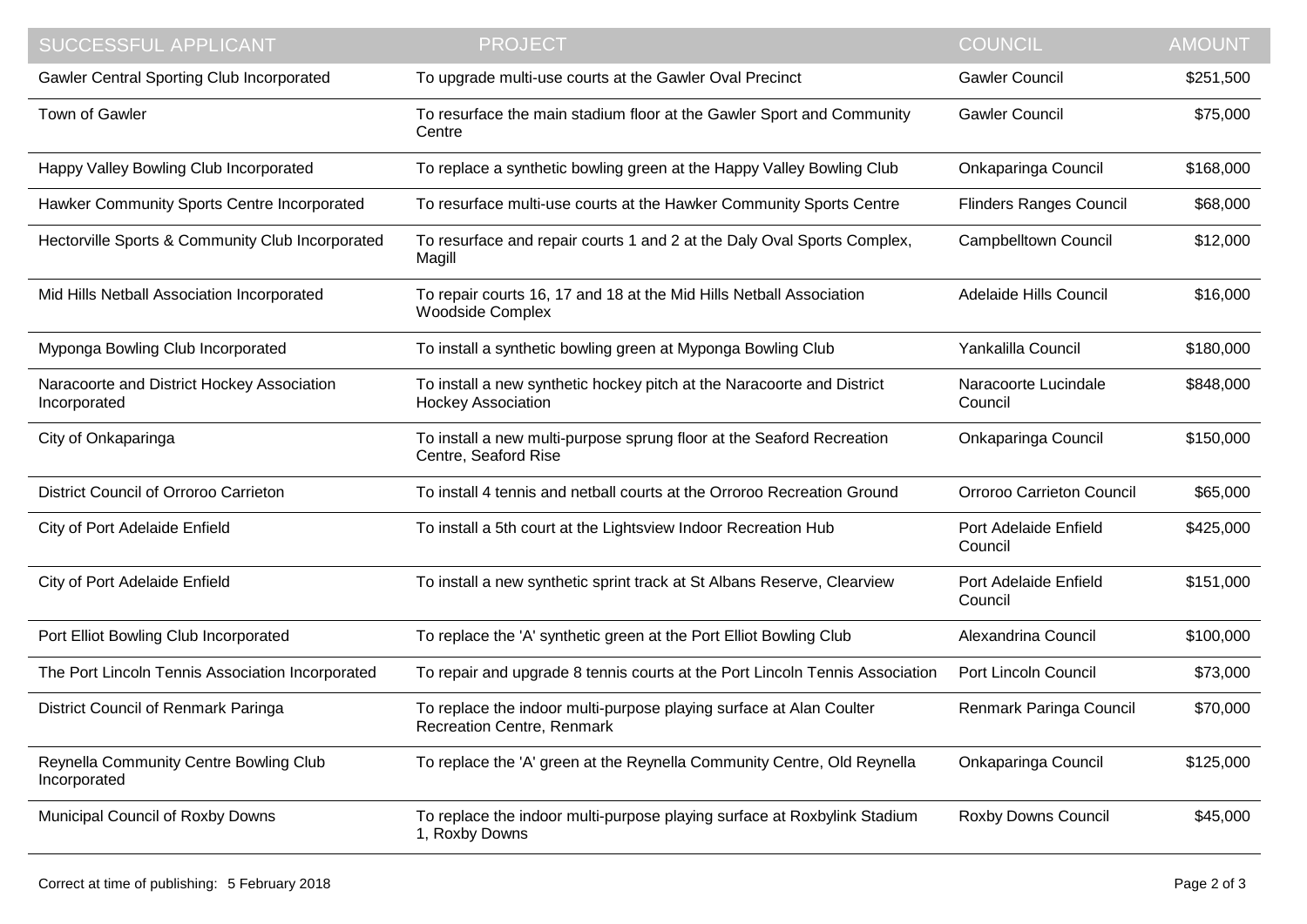| <b>SUCCESSFUL APPLICANT</b>                                | <b>PROJECT</b>                                                                                      | <b>COUNCIL</b>                   | <b>AMOUNT</b> |
|------------------------------------------------------------|-----------------------------------------------------------------------------------------------------|----------------------------------|---------------|
| <b>Gawler Central Sporting Club Incorporated</b>           | To upgrade multi-use courts at the Gawler Oval Precinct                                             | <b>Gawler Council</b>            | \$251,500     |
| Town of Gawler                                             | To resurface the main stadium floor at the Gawler Sport and Community<br>Centre                     | <b>Gawler Council</b>            | \$75,000      |
| Happy Valley Bowling Club Incorporated                     | To replace a synthetic bowling green at the Happy Valley Bowling Club                               | Onkaparinga Council              | \$168,000     |
| Hawker Community Sports Centre Incorporated                | To resurface multi-use courts at the Hawker Community Sports Centre                                 | <b>Flinders Ranges Council</b>   | \$68,000      |
| Hectorville Sports & Community Club Incorporated           | To resurface and repair courts 1 and 2 at the Daly Oval Sports Complex,<br>Magill                   | <b>Campbelltown Council</b>      | \$12,000      |
| Mid Hills Netball Association Incorporated                 | To repair courts 16, 17 and 18 at the Mid Hills Netball Association<br><b>Woodside Complex</b>      | Adelaide Hills Council           | \$16,000      |
| Myponga Bowling Club Incorporated                          | To install a synthetic bowling green at Myponga Bowling Club                                        | Yankalilla Council               | \$180,000     |
| Naracoorte and District Hockey Association<br>Incorporated | To install a new synthetic hockey pitch at the Naracoorte and District<br><b>Hockey Association</b> | Naracoorte Lucindale<br>Council  | \$848,000     |
| City of Onkaparinga                                        | To install a new multi-purpose sprung floor at the Seaford Recreation<br>Centre, Seaford Rise       | Onkaparinga Council              | \$150,000     |
| District Council of Orroroo Carrieton                      | To install 4 tennis and netball courts at the Orroroo Recreation Ground                             | Orroroo Carrieton Council        | \$65,000      |
| City of Port Adelaide Enfield                              | To install a 5th court at the Lightsview Indoor Recreation Hub                                      | Port Adelaide Enfield<br>Council | \$425,000     |
| City of Port Adelaide Enfield                              | To install a new synthetic sprint track at St Albans Reserve, Clearview                             | Port Adelaide Enfield<br>Council | \$151,000     |
| Port Elliot Bowling Club Incorporated                      | To replace the 'A' synthetic green at the Port Elliot Bowling Club                                  | Alexandrina Council              | \$100,000     |
| The Port Lincoln Tennis Association Incorporated           | To repair and upgrade 8 tennis courts at the Port Lincoln Tennis Association                        | Port Lincoln Council             | \$73,000      |
| District Council of Renmark Paringa                        | To replace the indoor multi-purpose playing surface at Alan Coulter<br>Recreation Centre, Renmark   | Renmark Paringa Council          | \$70,000      |
| Reynella Community Centre Bowling Club<br>Incorporated     | To replace the 'A' green at the Reynella Community Centre, Old Reynella                             | Onkaparinga Council              | \$125,000     |
| Municipal Council of Roxby Downs                           | To replace the indoor multi-purpose playing surface at Roxbylink Stadium<br>1, Roxby Downs          | Roxby Downs Council              | \$45,000      |